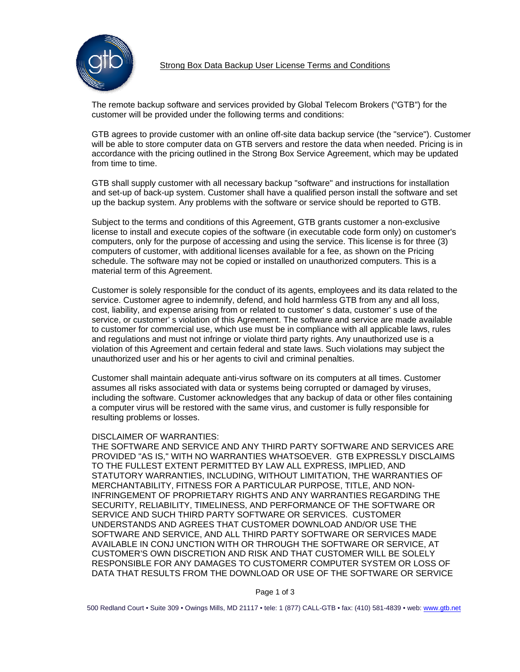

The remote backup software and services provided by Global Telecom Brokers ("GTB") for the customer will be provided under the following terms and conditions:

GTB agrees to provide customer with an online off-site data backup service (the "service"). Customer will be able to store computer data on GTB servers and restore the data when needed. Pricing is in accordance with the pricing outlined in the Strong Box Service Agreement, which may be updated from time to time.

GTB shall supply customer with all necessary backup "software" and instructions for installation and set-up of back-up system. Customer shall have a qualified person install the software and set up the backup system. Any problems with the software or service should be reported to GTB.

Subject to the terms and conditions of this Agreement, GTB grants customer a non-exclusive license to install and execute copies of the software (in executable code form only) on customer's computers, only for the purpose of accessing and using the service. This license is for three (3) computers of customer, with additional licenses available for a fee, as shown on the Pricing schedule. The software may not be copied or installed on unauthorized computers. This is a material term of this Agreement.

Customer is solely responsible for the conduct of its agents, employees and its data related to the service. Customer agree to indemnify, defend, and hold harmless GTB from any and all loss, cost, liability, and expense arising from or related to customer' s data, customer' s use of the service, or customer' s violation of this Agreement. The software and service are made available to customer for commercial use, which use must be in compliance with all applicable laws, rules and regulations and must not infringe or violate third party rights. Any unauthorized use is a violation of this Agreement and certain federal and state laws. Such violations may subject the unauthorized user and his or her agents to civil and criminal penalties.

Customer shall maintain adequate anti-virus software on its computers at all times. Customer assumes all risks associated with data or systems being corrupted or damaged by viruses, including the software. Customer acknowledges that any backup of data or other files containing a computer virus will be restored with the same virus, and customer is fully responsible for resulting problems or losses.

### DISCLAIMER OF WARRANTIES:

THE SOFTWARE AND SERVICE AND ANY THIRD PARTY SOFTWARE AND SERVICES ARE PROVIDED "AS IS," WITH NO WARRANTIES WHATSOEVER. GTB EXPRESSLY DISCLAIMS TO THE FULLEST EXTENT PERMITTED BY LAW ALL EXPRESS, IMPLIED, AND STATUTORY WARRANTIES, INCLUDING, WITHOUT LIMITATION, THE WARRANTIES OF MERCHANTABILITY, FITNESS FOR A PARTICULAR PURPOSE, TITLE, AND NON-INFRINGEMENT OF PROPRIETARY RIGHTS AND ANY WARRANTIES REGARDING THE SECURITY, RELIABILITY, TIMELINESS, AND PERFORMANCE OF THE SOFTWARE OR SERVICE AND SUCH THIRD PARTY SOFTWARE OR SERVICES. CUSTOMER UNDERSTANDS AND AGREES THAT CUSTOMER DOWNLOAD AND/OR USE THE SOFTWARE AND SERVICE, AND ALL THIRD PARTY SOFTWARE OR SERVICES MADE AVAILABLE IN CONJ UNCTION WITH OR THROUGH THE SOFTWARE OR SERVICE, AT CUSTOMER'S OWN DISCRETION AND RISK AND THAT CUSTOMER WILL BE SOLELY RESPONSIBLE FOR ANY DAMAGES TO CUSTOMERR COMPUTER SYSTEM OR LOSS OF DATA THAT RESULTS FROM THE DOWNLOAD OR USE OF THE SOFTWARE OR SERVICE

Page 1 of 3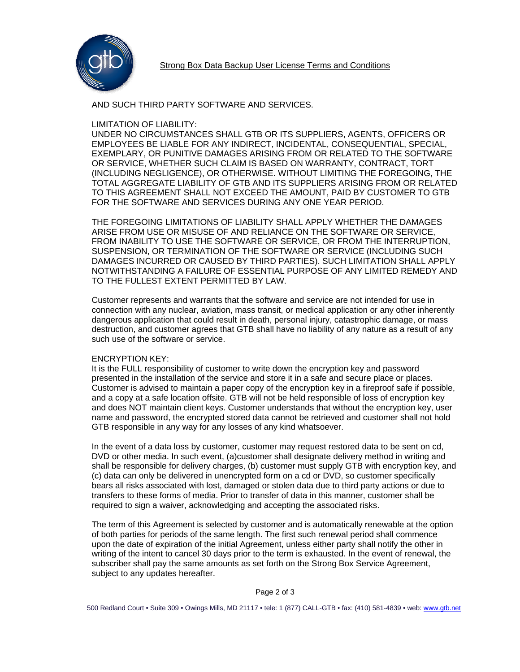

## AND SUCH THIRD PARTY SOFTWARE AND SERVICES.

## LIMITATION OF LIABILITY:

UNDER NO CIRCUMSTANCES SHALL GTB OR ITS SUPPLIERS, AGENTS, OFFICERS OR EMPLOYEES BE LIABLE FOR ANY INDIRECT, INCIDENTAL, CONSEQUENTIAL, SPECIAL, EXEMPLARY, OR PUNITIVE DAMAGES ARISING FROM OR RELATED TO THE SOFTWARE OR SERVICE, WHETHER SUCH CLAIM IS BASED ON WARRANTY, CONTRACT, TORT (INCLUDING NEGLIGENCE), OR OTHERWISE. WITHOUT LIMITING THE FOREGOING, THE TOTAL AGGREGATE LIABILITY OF GTB AND ITS SUPPLIERS ARISING FROM OR RELATED TO THIS AGREEMENT SHALL NOT EXCEED THE AMOUNT, PAID BY CUSTOMER TO GTB FOR THE SOFTWARE AND SERVICES DURING ANY ONE YEAR PERIOD.

THE FOREGOING LIMITATIONS OF LIABILITY SHALL APPLY WHETHER THE DAMAGES ARISE FROM USE OR MISUSE OF AND RELIANCE ON THE SOFTWARE OR SERVICE, FROM INABILITY TO USE THE SOFTWARE OR SERVICE, OR FROM THE INTERRUPTION, SUSPENSION, OR TERMINATION OF THE SOFTWARE OR SERVICE (INCLUDING SUCH DAMAGES INCURRED OR CAUSED BY THIRD PARTIES). SUCH LIMITATION SHALL APPLY NOTWITHSTANDING A FAILURE OF ESSENTIAL PURPOSE OF ANY LIMITED REMEDY AND TO THE FULLEST EXTENT PERMITTED BY LAW.

Customer represents and warrants that the software and service are not intended for use in connection with any nuclear, aviation, mass transit, or medical application or any other inherently dangerous application that could result in death, personal injury, catastrophic damage, or mass destruction, and customer agrees that GTB shall have no liability of any nature as a result of any such use of the software or service.

### ENCRYPTION KEY:

It is the FULL responsibility of customer to write down the encryption key and password presented in the installation of the service and store it in a safe and secure place or places. Customer is advised to maintain a paper copy of the encryption key in a fireproof safe if possible, and a copy at a safe location offsite. GTB will not be held responsible of loss of encryption key and does NOT maintain client keys. Customer understands that without the encryption key, user name and password, the encrypted stored data cannot be retrieved and customer shall not hold GTB responsible in any way for any losses of any kind whatsoever.

In the event of a data loss by customer, customer may request restored data to be sent on cd, DVD or other media. In such event, (a)customer shall designate delivery method in writing and shall be responsible for delivery charges, (b) customer must supply GTB with encryption key, and (c) data can only be delivered in unencrypted form on a cd or DVD, so customer specifically bears all risks associated with lost, damaged or stolen data due to third party actions or due to transfers to these forms of media. Prior to transfer of data in this manner, customer shall be required to sign a waiver, acknowledging and accepting the associated risks.

The term of this Agreement is selected by customer and is automatically renewable at the option of both parties for periods of the same length. The first such renewal period shall commence upon the date of expiration of the initial Agreement, unless either party shall notify the other in writing of the intent to cancel 30 days prior to the term is exhausted. In the event of renewal, the subscriber shall pay the same amounts as set forth on the Strong Box Service Agreement, subject to any updates hereafter.